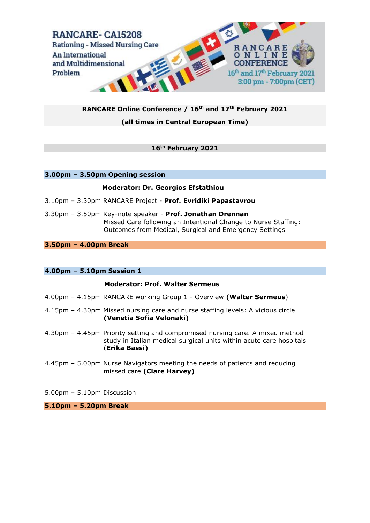

## **RANCARE Online Conference / 16th and 17th February 2021**

## **(all times in Central European Time)**

## **16th February 2021**

### **3.00pm – 3.50pm Opening session**

## **Moderator: Dr. Georgios Efstathiou**

- 3.10pm 3.30pm RANCARE Project **Prof. Evridiki Papastavrou**
- 3.30pm 3.50pm Key-note speaker **Prof. Jonathan Drennan** Missed Care following an Intentional Change to Nurse Staffing: Outcomes from Medical, Surgical and Emergency Settings

## **3.50pm – 4.00pm Break**

### **4.00pm – 5.10pm Session 1**

### **Moderator: Prof. Walter Sermeus**

- 4.00pm 4.15pm RANCARE working Group 1 Overview **(Walter Sermeus**)
- 4.15pm 4.30pm Missed nursing care and nurse staffing levels: A vicious circle **(Venetia Sofia Velonaki)**
- 4.30pm 4.45pm Priority setting and compromised nursing care. A mixed method study in Italian medical surgical units within acute care hospitals (**Erika Bassi)**
- 4.45pm 5.00pm Nurse Navigators meeting the needs of patients and reducing missed care **(Clare Harvey)**
- 5.00pm 5.10pm Discussion

**5.10pm – 5.20pm Break**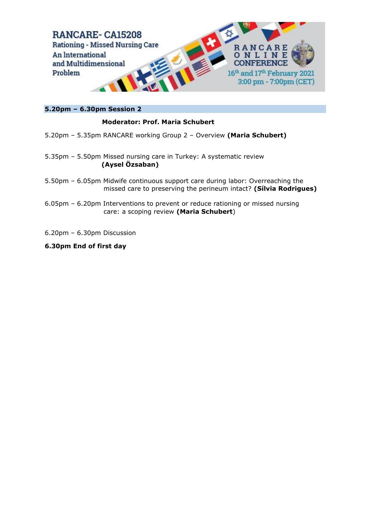

# **5.20pm – 6.30pm Session 2**

# **Moderator: Prof. Maria Schubert**

- 5.20pm 5.35pm RANCARE working Group 2 Overview **(Maria Schubert)**
- 5.35pm 5.50pm Missed nursing care in Turkey: A systematic review **(Aysel Özsaban)**
- 5.50pm 6.05pm Midwife continuous support care during labor: Overreaching the missed care to preserving the perineum intact? **(Sílvia Rodrigues)**
- 6.05pm 6.20pm Interventions to prevent or reduce rationing or missed nursing care: a scoping review **(Maria Schubert**)
- 6.20pm 6.30pm Discussion
- **6.30pm End of first day**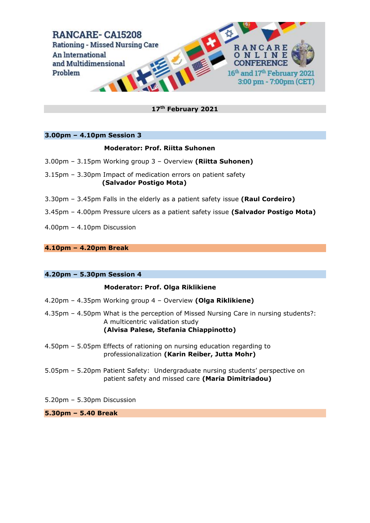

## **17th February 2021**

## **3.00pm – 4.10pm Session 3**

## **Moderator: Prof. Riitta Suhonen**

- 3.00pm 3.15pm Working group 3 Overview **(Riitta Suhonen)**
- 3.15pm 3.30pm Impact of medication errors on patient safety  **(Salvador Postigo Mota)**
- 3.30pm 3.45pm Falls in the elderly as a patient safety issue **(Raul Cordeiro)**
- 3.45pm 4.00pm Pressure ulcers as a patient safety issue **(Salvador Postigo Mota)**
- 4.00pm 4.10pm Discussion

## **4.10pm – 4.20pm Break**

### **4.20pm – 5.30pm Session 4**

### **Moderator: Prof. Olga Riklikiene**

- 4.20pm 4.35pm Working group 4 Overview **(Olga Riklikiene)**
- 4.35pm 4.50pm What is the perception of Missed Nursing Care in nursing students?: A multicentric validation study **(Alvisa Palese, Stefania Chiappinotto)**
- 4.50pm 5.05pm Effects of rationing on nursing education regarding to professionalization **(Karin Reiber, Jutta Mohr)**
- 5.05pm 5.20pm Patient Safety: Undergraduate nursing students' perspective on patient safety and missed care **(Maria Dimitriadou)**
- 5.20pm 5.30pm Discussion

**5.30pm – 5.40 Break**